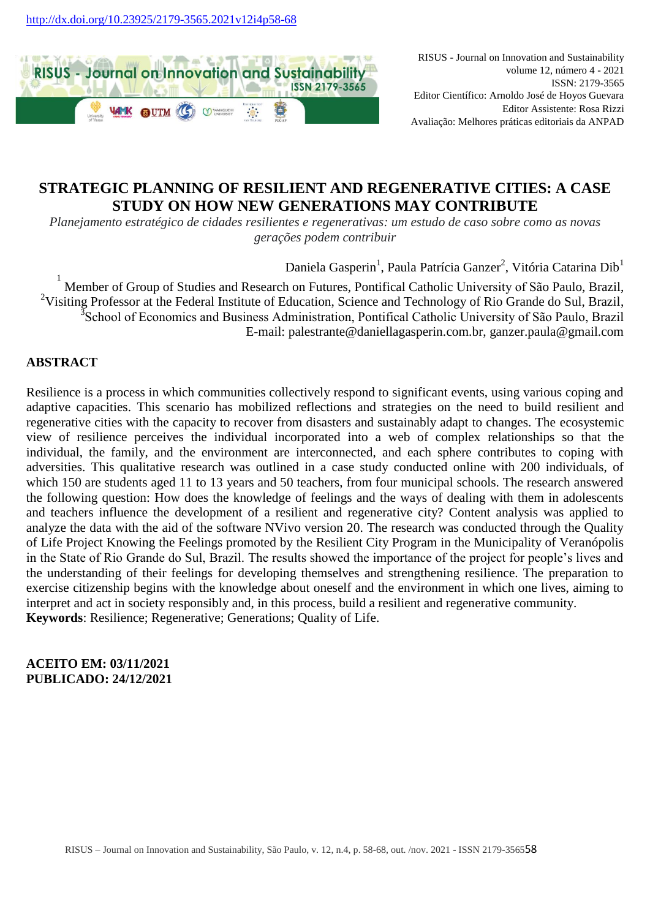

RISUS - Journal on Innovation and Sustainability volume 12, número 4 - 2021 ISSN: 2179-3565 Editor Científico: Arnoldo José de Hoyos Guevara Editor Assistente: Rosa Rizzi Avaliação: Melhores práticas editoriais da ANPAD

# **STRATEGIC PLANNING OF RESILIENT AND REGENERATIVE CITIES: A CASE STUDY ON HOW NEW GENERATIONS MAY CONTRIBUTE**

*Planejamento estratégico de cidades resilientes e regenerativas: um estudo de caso sobre como as novas gerações podem contribuir*

Daniela Gasperin<sup>1</sup>, Paula Patrícia Ganzer<sup>2</sup>, Vitória Catarina Dib<sup>1</sup>

1 Member of Group of Studies and Research on Futures, Pontifical Catholic University of São Paulo, Brazil, <sup>2</sup>Visiting Professor at the Federal Institute of Education, Science and Technology of Rio Grande do Sul, Brazil,  $\mathfrak{Z}_{\mathrm{S}}$ E-mail: palestrante@daniellagasperin.com.br, ganzer.paula@gmail.com

# **ABSTRACT**

Resilience is a process in which communities collectively respond to significant events, using various coping and adaptive capacities. This scenario has mobilized reflections and strategies on the need to build resilient and regenerative cities with the capacity to recover from disasters and sustainably adapt to changes. The ecosystemic view of resilience perceives the individual incorporated into a web of complex relationships so that the individual, the family, and the environment are interconnected, and each sphere contributes to coping with adversities. This qualitative research was outlined in a case study conducted online with 200 individuals, of which 150 are students aged 11 to 13 years and 50 teachers, from four municipal schools. The research answered the following question: How does the knowledge of feelings and the ways of dealing with them in adolescents and teachers influence the development of a resilient and regenerative city? Content analysis was applied to analyze the data with the aid of the software NVivo version 20. The research was conducted through the Quality of Life Project Knowing the Feelings promoted by the Resilient City Program in the Municipality of Veranópolis in the State of Rio Grande do Sul, Brazil. The results showed the importance of the project for people's lives and the understanding of their feelings for developing themselves and strengthening resilience. The preparation to exercise citizenship begins with the knowledge about oneself and the environment in which one lives, aiming to interpret and act in society responsibly and, in this process, build a resilient and regenerative community. **Keywords**: Resilience; Regenerative; Generations; Quality of Life.

# **ACEITO EM: 03/11/2021 PUBLICADO: 24/12/2021**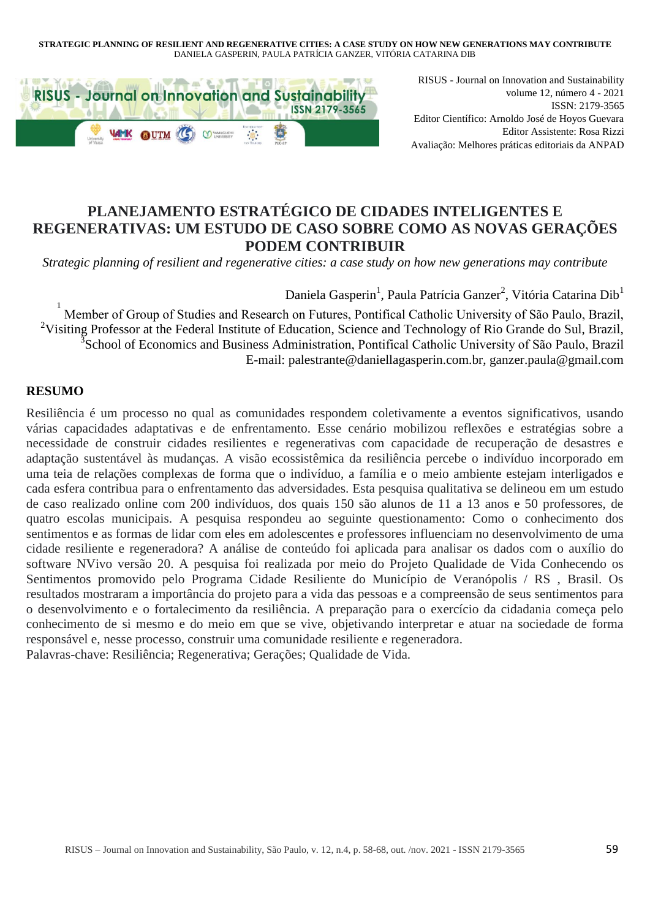#### **STRATEGIC PLANNING OF RESILIENT AND REGENERATIVE CITIES: A CASE STUDY ON HOW NEW GENERATIONS MAY CONTRIBUTE** DANIELA GASPERIN, PAULA PATRÍCIA GANZER, VITÓRIA CATARINA DIB



RISUS - Journal on Innovation and Sustainability volume 12, número 4 - 2021 ISSN: 2179-3565 Editor Científico: Arnoldo José de Hoyos Guevara Editor Assistente: Rosa Rizzi Avaliação: Melhores práticas editoriais da ANPAD

# **PLANEJAMENTO ESTRATÉGICO DE CIDADES INTELIGENTES E REGENERATIVAS: UM ESTUDO DE CASO SOBRE COMO AS NOVAS GERAÇÕES PODEM CONTRIBUIR**

*Strategic planning of resilient and regenerative cities: a case study on how new generations may contribute* 

# Daniela Gasperin<sup>1</sup>, Paula Patrícia Ganzer<sup>2</sup>, Vitória Catarina Dib<sup>1</sup>

1 Member of Group of Studies and Research on Futures, Pontifical Catholic University of São Paulo, Brazil, <sup>2</sup>Visiting Professor at the Federal Institute of Education, Science and Technology of Rio Grande do Sul, Brazil, <sup>3</sup>School of Economics and Business Admin E-mail: palestrante@daniellagasperin.com.br, ganzer.paula@gmail.com

### **RESUMO**

Resiliência é um processo no qual as comunidades respondem coletivamente a eventos significativos, usando várias capacidades adaptativas e de enfrentamento. Esse cenário mobilizou reflexões e estratégias sobre a necessidade de construir cidades resilientes e regenerativas com capacidade de recuperação de desastres e adaptação sustentável às mudanças. A visão ecossistêmica da resiliência percebe o indivíduo incorporado em uma teia de relações complexas de forma que o indivíduo, a família e o meio ambiente estejam interligados e cada esfera contribua para o enfrentamento das adversidades. Esta pesquisa qualitativa se delineou em um estudo de caso realizado online com 200 indivíduos, dos quais 150 são alunos de 11 a 13 anos e 50 professores, de quatro escolas municipais. A pesquisa respondeu ao seguinte questionamento: Como o conhecimento dos sentimentos e as formas de lidar com eles em adolescentes e professores influenciam no desenvolvimento de uma cidade resiliente e regeneradora? A análise de conteúdo foi aplicada para analisar os dados com o auxílio do software NVivo versão 20. A pesquisa foi realizada por meio do Projeto Qualidade de Vida Conhecendo os Sentimentos promovido pelo Programa Cidade Resiliente do Município de Veranópolis / RS , Brasil. Os resultados mostraram a importância do projeto para a vida das pessoas e a compreensão de seus sentimentos para o desenvolvimento e o fortalecimento da resiliência. A preparação para o exercício da cidadania começa pelo conhecimento de si mesmo e do meio em que se vive, objetivando interpretar e atuar na sociedade de forma responsável e, nesse processo, construir uma comunidade resiliente e regeneradora. Palavras-chave: Resiliência; Regenerativa; Gerações; Qualidade de Vida.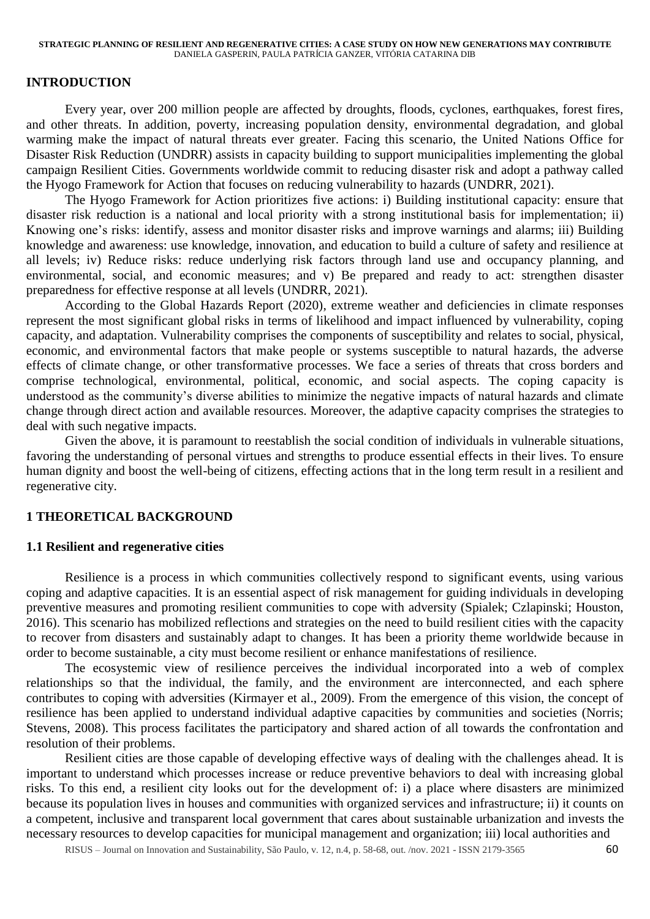### **INTRODUCTION**

Every year, over 200 million people are affected by droughts, floods, cyclones, earthquakes, forest fires, and other threats. In addition, poverty, increasing population density, environmental degradation, and global warming make the impact of natural threats ever greater. Facing this scenario, the United Nations Office for Disaster Risk Reduction (UNDRR) assists in capacity building to support municipalities implementing the global campaign Resilient Cities. Governments worldwide commit to reducing disaster risk and adopt a pathway called the Hyogo Framework for Action that focuses on reducing vulnerability to hazards (UNDRR, 2021).

The Hyogo Framework for Action prioritizes five actions: i) Building institutional capacity: ensure that disaster risk reduction is a national and local priority with a strong institutional basis for implementation; ii) Knowing one's risks: identify, assess and monitor disaster risks and improve warnings and alarms; iii) Building knowledge and awareness: use knowledge, innovation, and education to build a culture of safety and resilience at all levels; iv) Reduce risks: reduce underlying risk factors through land use and occupancy planning, and environmental, social, and economic measures; and v) Be prepared and ready to act: strengthen disaster preparedness for effective response at all levels (UNDRR, 2021).

According to the Global Hazards Report (2020), extreme weather and deficiencies in climate responses represent the most significant global risks in terms of likelihood and impact influenced by vulnerability, coping capacity, and adaptation. Vulnerability comprises the components of susceptibility and relates to social, physical, economic, and environmental factors that make people or systems susceptible to natural hazards, the adverse effects of climate change, or other transformative processes. We face a series of threats that cross borders and comprise technological, environmental, political, economic, and social aspects. The coping capacity is understood as the community's diverse abilities to minimize the negative impacts of natural hazards and climate change through direct action and available resources. Moreover, the adaptive capacity comprises the strategies to deal with such negative impacts.

Given the above, it is paramount to reestablish the social condition of individuals in vulnerable situations, favoring the understanding of personal virtues and strengths to produce essential effects in their lives. To ensure human dignity and boost the well-being of citizens, effecting actions that in the long term result in a resilient and regenerative city.

### **1 THEORETICAL BACKGROUND**

### **1.1 Resilient and regenerative cities**

Resilience is a process in which communities collectively respond to significant events, using various coping and adaptive capacities. It is an essential aspect of risk management for guiding individuals in developing preventive measures and promoting resilient communities to cope with adversity (Spialek; Czlapinski; Houston, 2016). This scenario has mobilized reflections and strategies on the need to build resilient cities with the capacity to recover from disasters and sustainably adapt to changes. It has been a priority theme worldwide because in order to become sustainable, a city must become resilient or enhance manifestations of resilience.

The ecosystemic view of resilience perceives the individual incorporated into a web of complex relationships so that the individual, the family, and the environment are interconnected, and each sphere contributes to coping with adversities (Kirmayer et al., 2009). From the emergence of this vision, the concept of resilience has been applied to understand individual adaptive capacities by communities and societies (Norris; Stevens, 2008). This process facilitates the participatory and shared action of all towards the confrontation and resolution of their problems.

Resilient cities are those capable of developing effective ways of dealing with the challenges ahead. It is important to understand which processes increase or reduce preventive behaviors to deal with increasing global risks. To this end, a resilient city looks out for the development of: i) a place where disasters are minimized because its population lives in houses and communities with organized services and infrastructure; ii) it counts on a competent, inclusive and transparent local government that cares about sustainable urbanization and invests the necessary resources to develop capacities for municipal management and organization; iii) local authorities and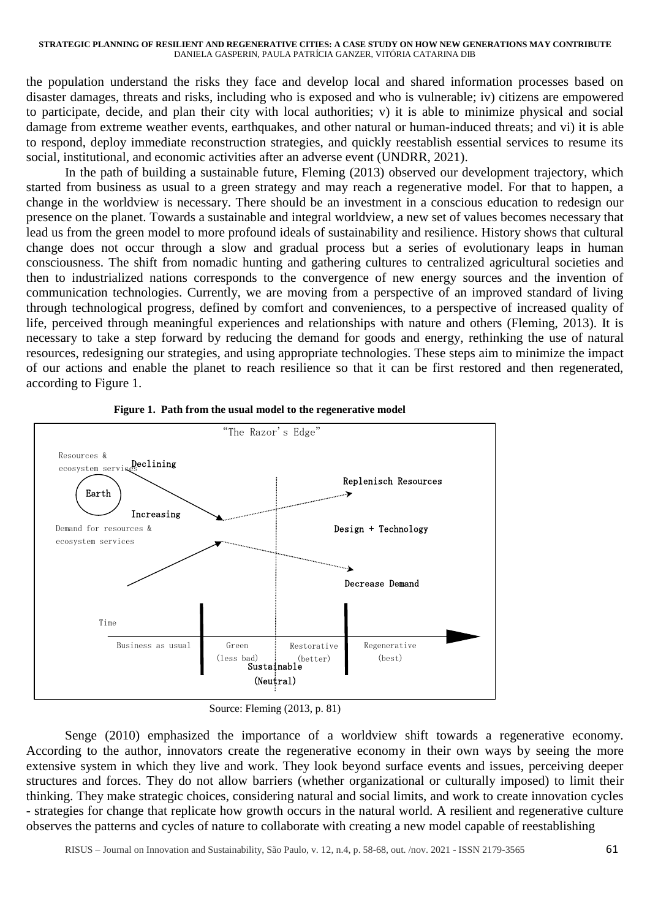the population understand the risks they face and develop local and shared information processes based on disaster damages, threats and risks, including who is exposed and who is vulnerable; iv) citizens are empowered to participate, decide, and plan their city with local authorities; v) it is able to minimize physical and social damage from extreme weather events, earthquakes, and other natural or human-induced threats; and vi) it is able to respond, deploy immediate reconstruction strategies, and quickly reestablish essential services to resume its social, institutional, and economic activities after an adverse event (UNDRR, 2021).

In the path of building a sustainable future, Fleming (2013) observed our development trajectory, which started from business as usual to a green strategy and may reach a regenerative model. For that to happen, a change in the worldview is necessary. There should be an investment in a conscious education to redesign our presence on the planet. Towards a sustainable and integral worldview, a new set of values becomes necessary that lead us from the green model to more profound ideals of sustainability and resilience. History shows that cultural change does not occur through a slow and gradual process but a series of evolutionary leaps in human consciousness. The shift from nomadic hunting and gathering cultures to centralized agricultural societies and then to industrialized nations corresponds to the convergence of new energy sources and the invention of communication technologies. Currently, we are moving from a perspective of an improved standard of living through technological progress, defined by comfort and conveniences, to a perspective of increased quality of life, perceived through meaningful experiences and relationships with nature and others (Fleming, 2013). It is necessary to take a step forward by reducing the demand for goods and energy, rethinking the use of natural resources, redesigning our strategies, and using appropriate technologies. These steps aim to minimize the impact of our actions and enable the planet to reach resilience so that it can be first restored and then regenerated, according to Figure 1.





Source: Fleming (2013, p. 81)

Senge (2010) emphasized the importance of a worldview shift towards a regenerative economy. According to the author, innovators create the regenerative economy in their own ways by seeing the more extensive system in which they live and work. They look beyond surface events and issues, perceiving deeper structures and forces. They do not allow barriers (whether organizational or culturally imposed) to limit their thinking. They make strategic choices, considering natural and social limits, and work to create innovation cycles - strategies for change that replicate how growth occurs in the natural world. A resilient and regenerative culture observes the patterns and cycles of nature to collaborate with creating a new model capable of reestablishing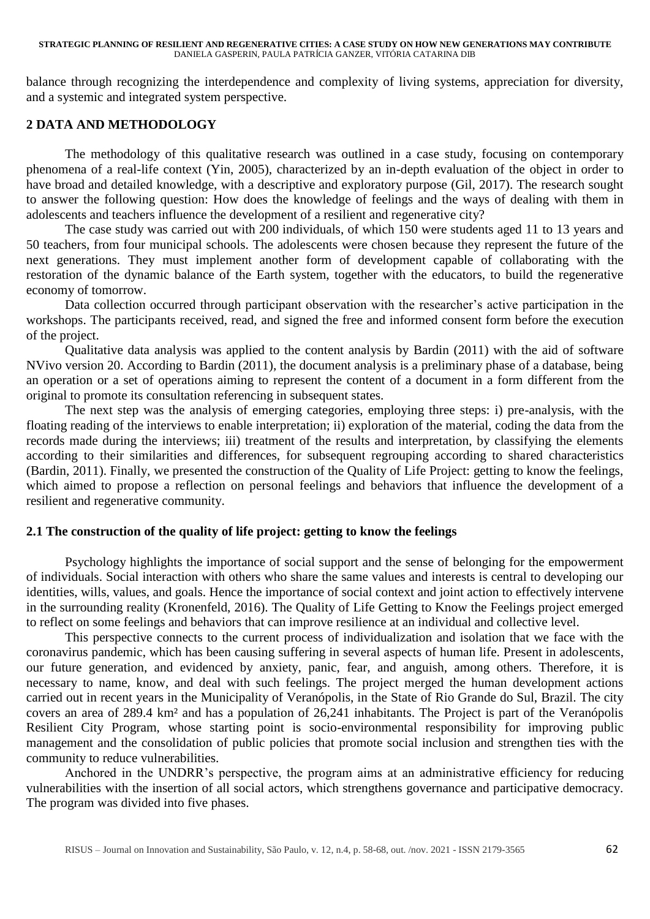#### **STRATEGIC PLANNING OF RESILIENT AND REGENERATIVE CITIES: A CASE STUDY ON HOW NEW GENERATIONS MAY CONTRIBUTE** DANIELA GASPERIN, PAULA PATRÍCIA GANZER, VITÓRIA CATARINA DIB

balance through recognizing the interdependence and complexity of living systems, appreciation for diversity, and a systemic and integrated system perspective.

# **2 DATA AND METHODOLOGY**

The methodology of this qualitative research was outlined in a case study, focusing on contemporary phenomena of a real-life context (Yin, 2005), characterized by an in-depth evaluation of the object in order to have broad and detailed knowledge, with a descriptive and exploratory purpose (Gil, 2017). The research sought to answer the following question: How does the knowledge of feelings and the ways of dealing with them in adolescents and teachers influence the development of a resilient and regenerative city?

The case study was carried out with 200 individuals, of which 150 were students aged 11 to 13 years and 50 teachers, from four municipal schools. The adolescents were chosen because they represent the future of the next generations. They must implement another form of development capable of collaborating with the restoration of the dynamic balance of the Earth system, together with the educators, to build the regenerative economy of tomorrow.

Data collection occurred through participant observation with the researcher's active participation in the workshops. The participants received, read, and signed the free and informed consent form before the execution of the project.

Qualitative data analysis was applied to the content analysis by Bardin (2011) with the aid of software NVivo version 20. According to Bardin (2011), the document analysis is a preliminary phase of a database, being an operation or a set of operations aiming to represent the content of a document in a form different from the original to promote its consultation referencing in subsequent states.

The next step was the analysis of emerging categories, employing three steps: i) pre-analysis, with the floating reading of the interviews to enable interpretation; ii) exploration of the material, coding the data from the records made during the interviews; iii) treatment of the results and interpretation, by classifying the elements according to their similarities and differences, for subsequent regrouping according to shared characteristics (Bardin, 2011). Finally, we presented the construction of the Quality of Life Project: getting to know the feelings, which aimed to propose a reflection on personal feelings and behaviors that influence the development of a resilient and regenerative community.

# **2.1 The construction of the quality of life project: getting to know the feelings**

Psychology highlights the importance of social support and the sense of belonging for the empowerment of individuals. Social interaction with others who share the same values and interests is central to developing our identities, wills, values, and goals. Hence the importance of social context and joint action to effectively intervene in the surrounding reality (Kronenfeld, 2016). The Quality of Life Getting to Know the Feelings project emerged to reflect on some feelings and behaviors that can improve resilience at an individual and collective level.

This perspective connects to the current process of individualization and isolation that we face with the coronavirus pandemic, which has been causing suffering in several aspects of human life. Present in adolescents, our future generation, and evidenced by anxiety, panic, fear, and anguish, among others. Therefore, it is necessary to name, know, and deal with such feelings. The project merged the human development actions carried out in recent years in the Municipality of Veranópolis, in the State of Rio Grande do Sul, Brazil. The city covers an area of 289.4 km² and has a population of 26,241 inhabitants. The Project is part of the Veranópolis Resilient City Program, whose starting point is socio-environmental responsibility for improving public management and the consolidation of public policies that promote social inclusion and strengthen ties with the community to reduce vulnerabilities.

Anchored in the UNDRR's perspective, the program aims at an administrative efficiency for reducing vulnerabilities with the insertion of all social actors, which strengthens governance and participative democracy. The program was divided into five phases.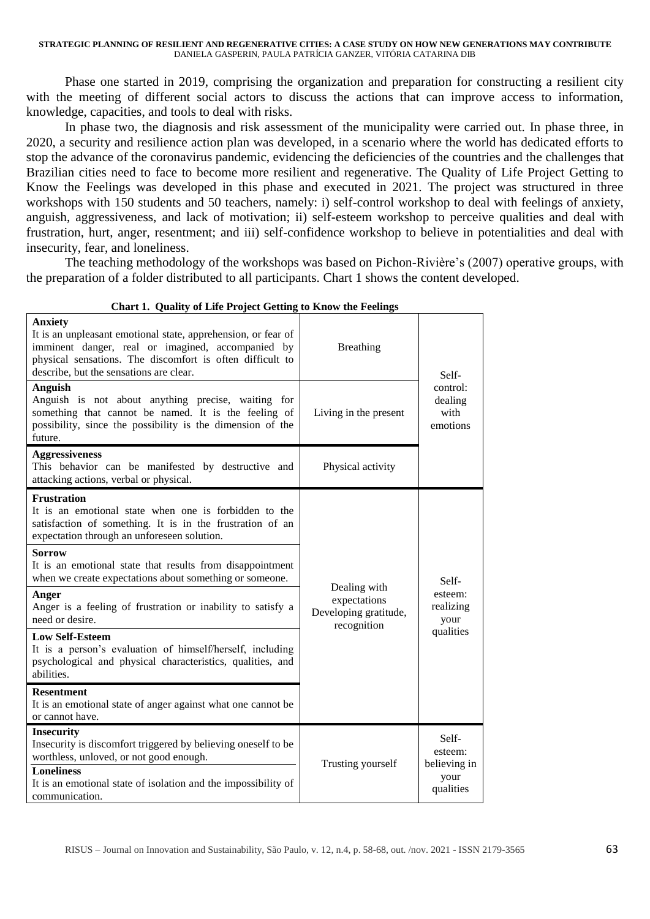Phase one started in 2019, comprising the organization and preparation for constructing a resilient city with the meeting of different social actors to discuss the actions that can improve access to information, knowledge, capacities, and tools to deal with risks.

In phase two, the diagnosis and risk assessment of the municipality were carried out. In phase three, in 2020, a security and resilience action plan was developed, in a scenario where the world has dedicated efforts to stop the advance of the coronavirus pandemic, evidencing the deficiencies of the countries and the challenges that Brazilian cities need to face to become more resilient and regenerative. The Quality of Life Project Getting to Know the Feelings was developed in this phase and executed in 2021. The project was structured in three workshops with 150 students and 50 teachers, namely: i) self-control workshop to deal with feelings of anxiety, anguish, aggressiveness, and lack of motivation; ii) self-esteem workshop to perceive qualities and deal with frustration, hurt, anger, resentment; and iii) self-confidence workshop to believe in potentialities and deal with insecurity, fear, and loneliness.

The teaching methodology of the workshops was based on Pichon-Rivière's (2007) operative groups, with the preparation of a folder distributed to all participants. Chart 1 shows the content developed.

| Chart 1. Quality of Life Froject Getting to Know the Feelings                                                                                                                                                                                |                                                                      |                                         |
|----------------------------------------------------------------------------------------------------------------------------------------------------------------------------------------------------------------------------------------------|----------------------------------------------------------------------|-----------------------------------------|
| <b>Anxiety</b><br>It is an unpleasant emotional state, apprehension, or fear of<br>imminent danger, real or imagined, accompanied by<br>physical sensations. The discomfort is often difficult to<br>describe, but the sensations are clear. | <b>Breathing</b>                                                     | Self-                                   |
| Anguish<br>Anguish is not about anything precise, waiting for<br>something that cannot be named. It is the feeling of<br>possibility, since the possibility is the dimension of the<br>future.                                               | Living in the present                                                | control:<br>dealing<br>with<br>emotions |
| <b>Aggressiveness</b><br>This behavior can be manifested by destructive and<br>attacking actions, verbal or physical.                                                                                                                        | Physical activity                                                    |                                         |
| <b>Frustration</b><br>It is an emotional state when one is forbidden to the<br>satisfaction of something. It is in the frustration of an<br>expectation through an unforeseen solution.                                                      |                                                                      |                                         |
| <b>Sorrow</b><br>It is an emotional state that results from disappointment<br>when we create expectations about something or someone.                                                                                                        |                                                                      | Self-                                   |
| Anger<br>Anger is a feeling of frustration or inability to satisfy a<br>need or desire.                                                                                                                                                      | Dealing with<br>expectations<br>Developing gratitude,<br>recognition | esteem:<br>realizing<br>your            |
| <b>Low Self-Esteem</b><br>It is a person's evaluation of himself/herself, including<br>psychological and physical characteristics, qualities, and<br>abilities.                                                                              |                                                                      | qualities                               |
| <b>Resentment</b><br>It is an emotional state of anger against what one cannot be<br>or cannot have.                                                                                                                                         |                                                                      |                                         |
| <b>Insecurity</b><br>Insecurity is discomfort triggered by believing oneself to be<br>worthless, unloved, or not good enough.                                                                                                                | Trusting yourself                                                    | Self-<br>esteem:<br>believing in        |
| <b>Loneliness</b><br>It is an emotional state of isolation and the impossibility of<br>communication.                                                                                                                                        |                                                                      | your<br>qualities                       |

 **Chart 1. Quality of Life Project Getting to Know the Feelings**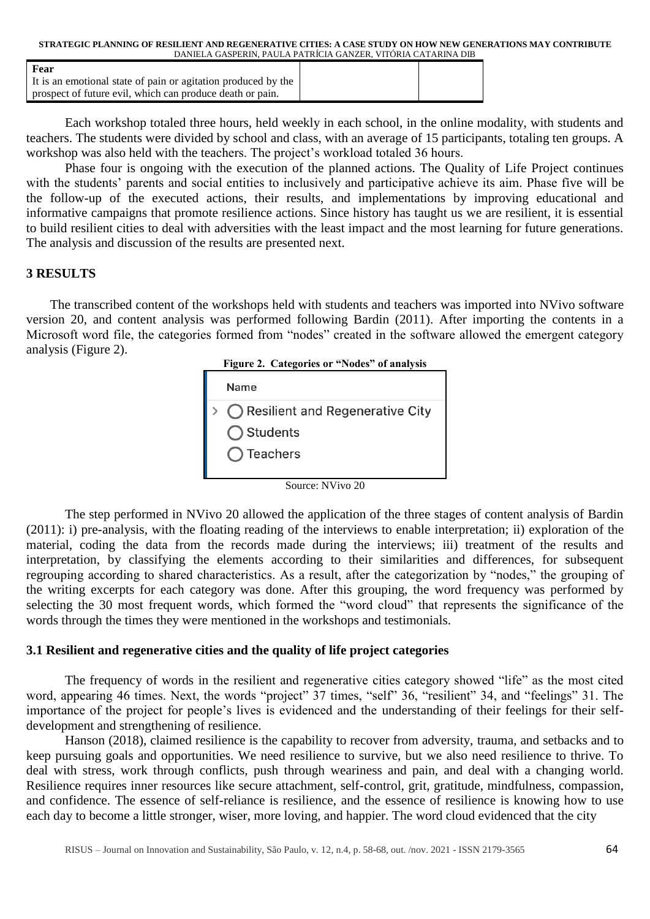| STRATEGIC PLANNING OF RESILIENT AND REGENERATIVE CITIES: A CASE STUDY ON HOW NEW GENERATIONS MAY CONTRIBUTE |  |
|-------------------------------------------------------------------------------------------------------------|--|
| DANIELA GASPERIN. PAULA PATRÍCIA GANZER. VITÓRIA CATARINA DIB                                               |  |

| Fear                                                          |  |
|---------------------------------------------------------------|--|
| It is an emotional state of pain or agitation produced by the |  |
| prospect of future evil, which can produce death or pain.     |  |

Each workshop totaled three hours, held weekly in each school, in the online modality, with students and teachers. The students were divided by school and class, with an average of 15 participants, totaling ten groups. A workshop was also held with the teachers. The project's workload totaled 36 hours.

Phase four is ongoing with the execution of the planned actions. The Quality of Life Project continues with the students' parents and social entities to inclusively and participative achieve its aim. Phase five will be the follow-up of the executed actions, their results, and implementations by improving educational and informative campaigns that promote resilience actions. Since history has taught us we are resilient, it is essential to build resilient cities to deal with adversities with the least impact and the most learning for future generations. The analysis and discussion of the results are presented next.

# **3 RESULTS**

The transcribed content of the workshops held with students and teachers was imported into NVivo software version 20, and content analysis was performed following Bardin (2011). After importing the contents in a Microsoft word file, the categories formed from "nodes" created in the software allowed the emergent category analysis (Figure 2).





Source: NVivo 20

The step performed in NVivo 20 allowed the application of the three stages of content analysis of Bardin (2011): i) pre-analysis, with the floating reading of the interviews to enable interpretation; ii) exploration of the material, coding the data from the records made during the interviews; iii) treatment of the results and interpretation, by classifying the elements according to their similarities and differences, for subsequent regrouping according to shared characteristics. As a result, after the categorization by "nodes," the grouping of the writing excerpts for each category was done. After this grouping, the word frequency was performed by selecting the 30 most frequent words, which formed the "word cloud" that represents the significance of the words through the times they were mentioned in the workshops and testimonials.

### **3.1 Resilient and regenerative cities and the quality of life project categories**

The frequency of words in the resilient and regenerative cities category showed "life" as the most cited word, appearing 46 times. Next, the words "project" 37 times, "self" 36, "resilient" 34, and "feelings" 31. The importance of the project for people's lives is evidenced and the understanding of their feelings for their selfdevelopment and strengthening of resilience.

Hanson (2018), claimed resilience is the capability to recover from adversity, [trauma,](https://www.goodtherapy.org/blog/psychpedia/trauma) and setbacks and to keep pursuing goals and opportunities. We need resilience to survive, but we also need resilience to thrive. To deal with [stress,](https://www.goodtherapy.org/learn-about-therapy/issues/stress) work through conflicts, push through weariness and pain, and deal with a changing world. Resilience requires inner resources like secure attachment, self-control, grit, gratitude, mindfulness, compassion, and confidence. The essence of self-reliance is resilience, and the essence of resilience is knowing how to use each day to become a little stronger, wiser, more loving, and happier. The word cloud evidenced that the city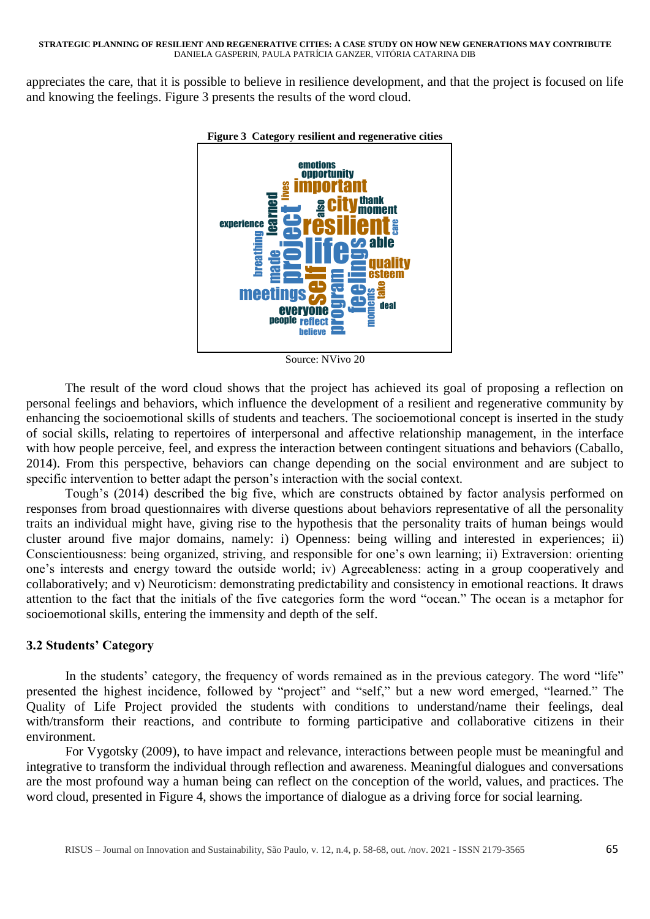appreciates the care, that it is possible to believe in resilience development, and that the project is focused on life and knowing the feelings. Figure 3 presents the results of the word cloud.



**Figure 3 Category resilient and regenerative cities**

Source: NVivo 20

The result of the word cloud shows that the project has achieved its goal of proposing a reflection on personal feelings and behaviors, which influence the development of a resilient and regenerative community by enhancing the socioemotional skills of students and teachers. The socioemotional concept is inserted in the study of social skills, relating to repertoires of interpersonal and affective relationship management, in the interface with how people perceive, feel, and express the interaction between contingent situations and behaviors (Caballo, 2014). From this perspective, behaviors can change depending on the social environment and are subject to specific intervention to better adapt the person's interaction with the social context.

Tough's (2014) described the big five, which are constructs obtained by factor analysis performed on responses from broad questionnaires with diverse questions about behaviors representative of all the personality traits an individual might have, giving rise to the hypothesis that the personality traits of human beings would cluster around five major domains, namely: i) Openness: being willing and interested in experiences; ii) Conscientiousness: being organized, striving, and responsible for one's own learning; ii) Extraversion: orienting one's interests and energy toward the outside world; iv) Agreeableness: acting in a group cooperatively and collaboratively; and v) Neuroticism: demonstrating predictability and consistency in emotional reactions. It draws attention to the fact that the initials of the five categories form the word "ocean." The ocean is a metaphor for socioemotional skills, entering the immensity and depth of the self.

# **3.2 Students' Category**

In the students' category, the frequency of words remained as in the previous category. The word "life" presented the highest incidence, followed by "project" and "self," but a new word emerged, "learned." The Quality of Life Project provided the students with conditions to understand/name their feelings, deal with/transform their reactions, and contribute to forming participative and collaborative citizens in their environment.

For Vygotsky (2009), to have impact and relevance, interactions between people must be meaningful and integrative to transform the individual through reflection and awareness. Meaningful dialogues and conversations are the most profound way a human being can reflect on the conception of the world, values, and practices. The word cloud, presented in Figure 4, shows the importance of dialogue as a driving force for social learning.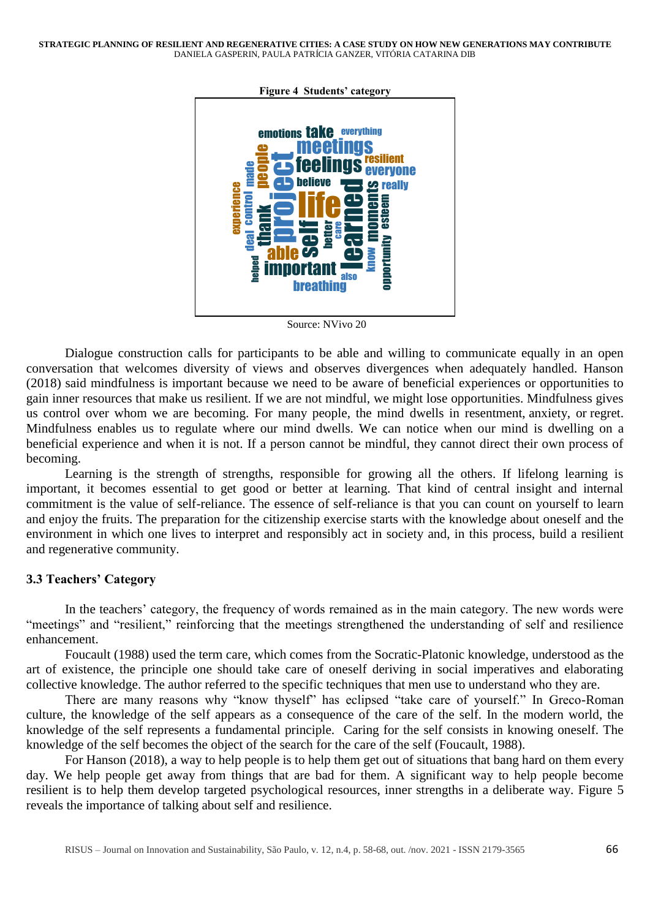

**Figure 4 Students' category**

Source: NVivo 20

Dialogue construction calls for participants to be able and willing to communicate equally in an open conversation that welcomes diversity of views and observes divergences when adequately handled. Hanson (2018) said mindfulness is important because we need to be aware of beneficial experiences or opportunities to gain inner resources that make us resilient. If we are not mindful, we might lose opportunities. Mindfulness gives us control over whom we are becoming. For many people, the mind dwells in resentment, [anxiety,](https://www.goodtherapy.org/learn-about-therapy/issues/anxiety) or [regret.](https://www.goodtherapy.org/blog/psychpedia/regret) Mindfulness enables us to regulate where our mind dwells. We can notice when our mind is dwelling on a beneficial experience and when it is not. If a person cannot be mindful, they cannot direct their own process of becoming.

Learning is the strength of strengths, responsible for growing all the others. If lifelong learning is important, it becomes essential to get good or better at learning. That kind of central insight and internal commitment is the value of self-reliance. The essence of self-reliance is that you can count on yourself to learn and enjoy the fruits. The preparation for the citizenship exercise starts with the knowledge about oneself and the environment in which one lives to interpret and responsibly act in society and, in this process, build a resilient and regenerative community.

# **3.3 Teachers' Category**

In the teachers' category, the frequency of words remained as in the main category. The new words were "meetings" and "resilient," reinforcing that the meetings strengthened the understanding of self and resilience enhancement.

Foucault (1988) used the term care, which comes from the Socratic-Platonic knowledge, understood as the art of existence, the principle one should take care of oneself deriving in social imperatives and elaborating collective knowledge. The author referred to the specific techniques that men use to understand who they are.

There are many reasons why "know thyself" has eclipsed "take care of yourself." In Greco-Roman culture, the knowledge of the self appears as a consequence of the care of the self. In the modern world, the knowledge of the self represents a fundamental principle. Caring for the self consists in knowing oneself. The knowledge of the self becomes the object of the search for the care of the self (Foucault, 1988).

For Hanson (2018), a way to help people is to help them get out of situations that bang hard on them every day. We help people get away from things that are bad for them. A significant way to help people become resilient is to help them develop targeted psychological resources, inner strengths in a deliberate way. Figure 5 reveals the importance of talking about self and resilience.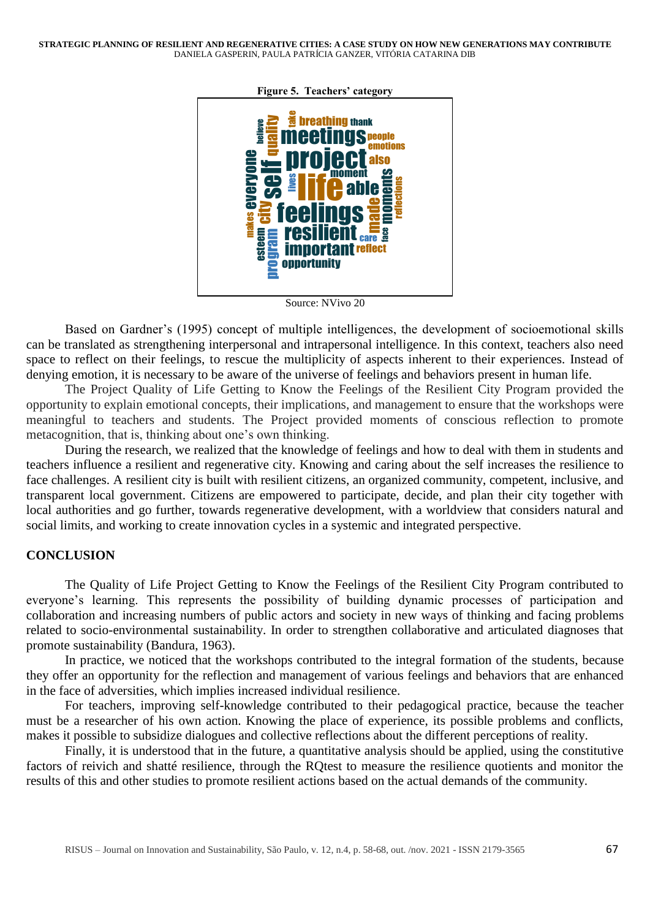**STRATEGIC PLANNING OF RESILIENT AND REGENERATIVE CITIES: A CASE STUDY ON HOW NEW GENERATIONS MAY CONTRIBUTE** DANIELA GASPERIN, PAULA PATRÍCIA GANZER, VITÓRIA CATARINA DIB



**Figure 5. Teachers' category**

Source: NVivo 20

Based on Gardner's (1995) concept of multiple intelligences, the development of socioemotional skills can be translated as strengthening interpersonal and intrapersonal intelligence. In this context, teachers also need space to reflect on their feelings, to rescue the multiplicity of aspects inherent to their experiences. Instead of denying emotion, it is necessary to be aware of the universe of feelings and behaviors present in human life.

The Project Quality of Life Getting to Know the Feelings of the Resilient City Program provided the opportunity to explain emotional concepts, their implications, and management to ensure that the workshops were meaningful to teachers and students. The Project provided moments of conscious reflection to promote metacognition, that is, thinking about one's own thinking.

During the research, we realized that the knowledge of feelings and how to deal with them in students and teachers influence a resilient and regenerative city. Knowing and caring about the self increases the resilience to face challenges. A resilient city is built with resilient citizens, an organized community, competent, inclusive, and transparent local government. Citizens are empowered to participate, decide, and plan their city together with local authorities and go further, towards regenerative development, with a worldview that considers natural and social limits, and working to create innovation cycles in a systemic and integrated perspective.

# **CONCLUSION**

The Quality of Life Project Getting to Know the Feelings of the Resilient City Program contributed to everyone's learning. This represents the possibility of building dynamic processes of participation and collaboration and increasing numbers of public actors and society in new ways of thinking and facing problems related to socio-environmental sustainability. In order to strengthen collaborative and articulated diagnoses that promote sustainability (Bandura, 1963).

In practice, we noticed that the workshops contributed to the integral formation of the students, because they offer an opportunity for the reflection and management of various feelings and behaviors that are enhanced in the face of adversities, which implies increased individual resilience.

For teachers, improving self-knowledge contributed to their pedagogical practice, because the teacher must be a researcher of his own action. Knowing the place of experience, its possible problems and conflicts, makes it possible to subsidize dialogues and collective reflections about the different perceptions of reality.

Finally, it is understood that in the future, a quantitative analysis should be applied, using the constitutive factors of reivich and shatté resilience, through the RQtest to measure the resilience quotients and monitor the results of this and other studies to promote resilient actions based on the actual demands of the community.